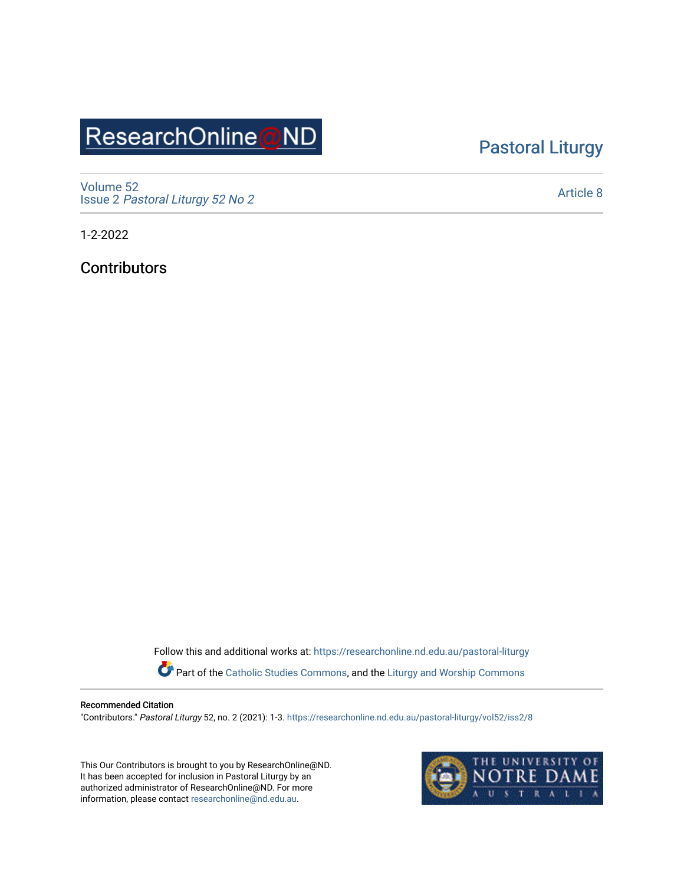# ResearchOnline@ND

## [Pastoral Liturgy](https://researchonline.nd.edu.au/pastoral-liturgy)

[Volume 52](https://researchonline.nd.edu.au/pastoral-liturgy/vol52) Issue 2 [Pastoral Liturgy 52 No 2](https://researchonline.nd.edu.au/pastoral-liturgy/vol52/iss2)

[Article 8](https://researchonline.nd.edu.au/pastoral-liturgy/vol52/iss2/8) 

1-2-2022

**Contributors** 

Follow this and additional works at: [https://researchonline.nd.edu.au/pastoral-liturgy](https://researchonline.nd.edu.au/pastoral-liturgy?utm_source=researchonline.nd.edu.au%2Fpastoral-liturgy%2Fvol52%2Fiss2%2F8&utm_medium=PDF&utm_campaign=PDFCoverPages)

Part of the [Catholic Studies Commons,](http://network.bepress.com/hgg/discipline/1294?utm_source=researchonline.nd.edu.au%2Fpastoral-liturgy%2Fvol52%2Fiss2%2F8&utm_medium=PDF&utm_campaign=PDFCoverPages) and the [Liturgy and Worship Commons](http://network.bepress.com/hgg/discipline/1188?utm_source=researchonline.nd.edu.au%2Fpastoral-liturgy%2Fvol52%2Fiss2%2F8&utm_medium=PDF&utm_campaign=PDFCoverPages) 

#### Recommended Citation

"Contributors." Pastoral Liturgy 52, no. 2 (2021): 1-3. [https://researchonline.nd.edu.au/pastoral-liturgy/vol52/iss2/8](https://researchonline.nd.edu.au/pastoral-liturgy/vol52/iss2/8?utm_source=researchonline.nd.edu.au%2Fpastoral-liturgy%2Fvol52%2Fiss2%2F8&utm_medium=PDF&utm_campaign=PDFCoverPages)

This Our Contributors is brought to you by ResearchOnline@ND. It has been accepted for inclusion in Pastoral Liturgy by an authorized administrator of ResearchOnline@ND. For more information, please contact [researchonline@nd.edu.au.](mailto:researchonline@nd.edu.au)

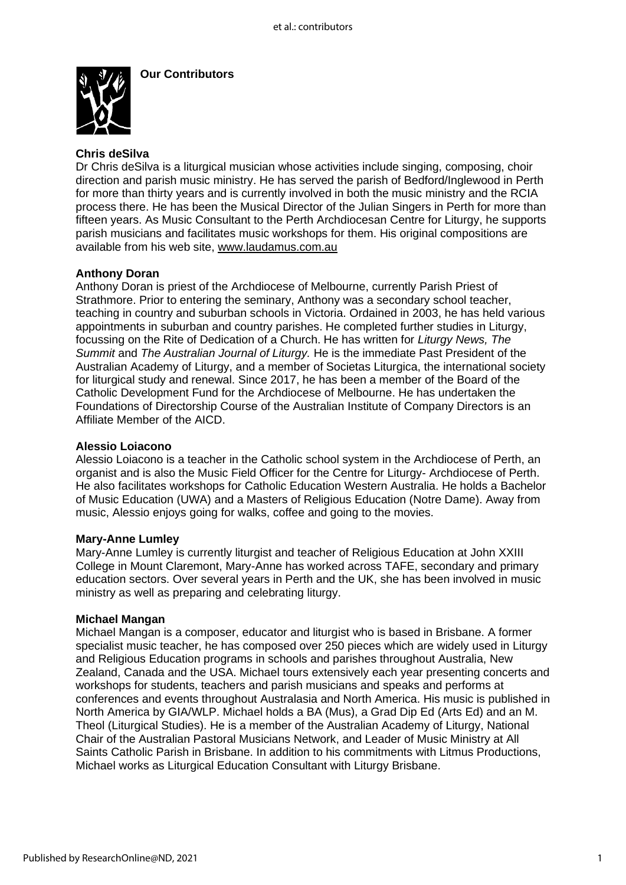

**Our Contributors** 

### **Chris deSilva**

Dr Chris deSilva is a liturgical musician whose activities include singing, composing, choir direction and parish music ministry. He has served the parish of Bedford/Inglewood in Perth for more than thirty years and is currently involved in both the music ministry and the RCIA process there. He has been the Musical Director of the Julian Singers in Perth for more than fifteen years. As Music Consultant to the Perth Archdiocesan Centre for Liturgy, he supports parish musicians and facilitates music workshops for them. His original compositions are available from his web site, [www.laudamus.com.au](http://www.laudamus.com.au/)

#### **Anthony Doran**

Anthony Doran is priest of the Archdiocese of Melbourne, currently Parish Priest of Strathmore. Prior to entering the seminary, Anthony was a secondary school teacher, teaching in country and suburban schools in Victoria. Ordained in 2003, he has held various appointments in suburban and country parishes. He completed further studies in Liturgy, focussing on the Rite of Dedication of a Church. He has written for *Liturgy News, The Summit* and *The Australian Journal of Liturgy.* He is the immediate Past President of the Australian Academy of Liturgy, and a member of Societas Liturgica, the international society for liturgical study and renewal. Since 2017, he has been a member of the Board of the Catholic Development Fund for the Archdiocese of Melbourne. He has undertaken the Foundations of Directorship Course of the Australian Institute of Company Directors is an Affiliate Member of the AICD.

#### **Alessio Loiacono**

Alessio Loiacono is a teacher in the Catholic school system in the Archdiocese of Perth, an organist and is also the Music Field Officer for the Centre for Liturgy- Archdiocese of Perth. He also facilitates workshops for Catholic Education Western Australia. He holds a Bachelor of Music Education (UWA) and a Masters of Religious Education (Notre Dame). Away from music, Alessio enjoys going for walks, coffee and going to the movies.

#### **Mary-Anne Lumley**

Mary-Anne Lumley is currently liturgist and teacher of Religious Education at John XXIII College in Mount Claremont, Mary-Anne has worked across TAFE, secondary and primary education sectors. Over several years in Perth and the UK, she has been involved in music ministry as well as preparing and celebrating liturgy.

#### **Michael Mangan**

Michael Mangan is a composer, educator and liturgist who is based in Brisbane. A former specialist music teacher, he has composed over 250 pieces which are widely used in Liturgy and Religious Education programs in schools and parishes throughout Australia, New Zealand, Canada and the USA. Michael tours extensively each year presenting concerts and workshops for students, teachers and parish musicians and speaks and performs at conferences and events throughout Australasia and North America. His music is published in North America by GIA/WLP. Michael holds a BA (Mus), a Grad Dip Ed (Arts Ed) and an M. Theol (Liturgical Studies). He is a member of the Australian Academy of Liturgy, National Chair of the Australian Pastoral Musicians Network, and Leader of Music Ministry at All Saints Catholic Parish in Brisbane. In addition to his commitments with Litmus Productions, Michael works as Liturgical Education Consultant with Liturgy Brisbane.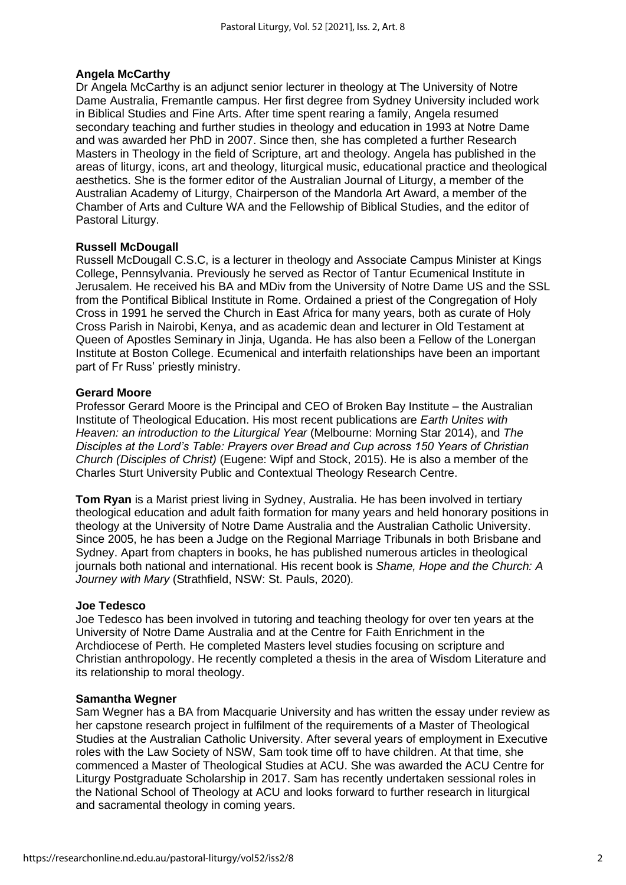#### **Angela McCarthy**

Dr Angela McCarthy is an adjunct senior lecturer in theology at The University of Notre Dame Australia, Fremantle campus. Her first degree from Sydney University included work in Biblical Studies and Fine Arts. After time spent rearing a family, Angela resumed secondary teaching and further studies in theology and education in 1993 at Notre Dame and was awarded her PhD in 2007. Since then, she has completed a further Research Masters in Theology in the field of Scripture, art and theology. Angela has published in the areas of liturgy, icons, art and theology, liturgical music, educational practice and theological aesthetics. She is the former editor of the Australian Journal of Liturgy, a member of the Australian Academy of Liturgy, Chairperson of the Mandorla Art Award, a member of the Chamber of Arts and Culture WA and the Fellowship of Biblical Studies, and the editor of Pastoral Liturgy.

#### **Russell McDougall**

Russell McDougall C.S.C, is a lecturer in theology and Associate Campus Minister at Kings College, Pennsylvania. Previously he served as Rector of Tantur Ecumenical Institute in Jerusalem. He received his BA and MDiv from the University of Notre Dame US and the SSL from the Pontifical Biblical Institute in Rome. Ordained a priest of the Congregation of Holy Cross in 1991 he served the Church in East Africa for many years, both as curate of Holy Cross Parish in Nairobi, Kenya, and as academic dean and lecturer in Old Testament at Queen of Apostles Seminary in Jinja, Uganda. He has also been a Fellow of the Lonergan Institute at Boston College. Ecumenical and interfaith relationships have been an important part of Fr Russ' priestly ministry.

#### **Gerard Moore**

Professor Gerard Moore is the Principal and CEO of Broken Bay Institute – the Australian Institute of Theological Education. His most recent publications are *Earth Unites with Heaven: an introduction to the Liturgical Year* (Melbourne: Morning Star 2014), and *The Disciples at the Lord's Table: Prayers over Bread and Cup across 150 Years of Christian Church (Disciples of Christ)* (Eugene: Wipf and Stock, 2015). He is also a member of the Charles Sturt University Public and Contextual Theology Research Centre.

**Tom Ryan** is a Marist priest living in Sydney, Australia. He has been involved in tertiary theological education and adult faith formation for many years and held honorary positions in theology at the University of Notre Dame Australia and the Australian Catholic University. Since 2005, he has been a Judge on the Regional Marriage Tribunals in both Brisbane and Sydney. Apart from chapters in books, he has published numerous articles in theological journals both national and international. His recent book is *Shame, Hope and the Church: A Journey with Mary* (Strathfield, NSW: St. Pauls, 2020)*.* 

#### **Joe Tedesco**

Joe Tedesco has been involved in tutoring and teaching theology for over ten years at the University of Notre Dame Australia and at the Centre for Faith Enrichment in the Archdiocese of Perth. He completed Masters level studies focusing on scripture and Christian anthropology. He recently completed a thesis in the area of Wisdom Literature and its relationship to moral theology.

#### **Samantha Wegner**

Sam Wegner has a BA from Macquarie University and has written the essay under review as her capstone research project in fulfilment of the requirements of a Master of Theological Studies at the Australian Catholic University. After several years of employment in Executive roles with the Law Society of NSW, Sam took time off to have children. At that time, she commenced a Master of Theological Studies at ACU. She was awarded the ACU Centre for Liturgy Postgraduate Scholarship in 2017. Sam has recently undertaken sessional roles in the National School of Theology at ACU and looks forward to further research in liturgical and sacramental theology in coming years.